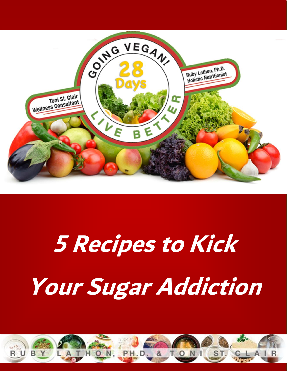

# 5 Recipes to Kick Your Sugar Addiction

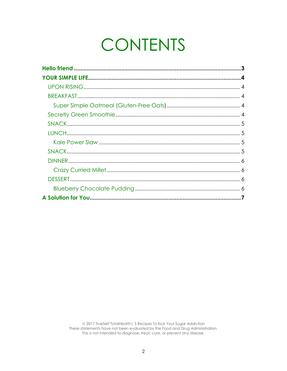# **CONTENTS**

© 2017 TrueSelf TotalHealth | 5 Recipes To Kick Your Sugar Addiction<br>These statements have not been evaluated by the Food and Drug Administration. This is not intended to diagnose, treat, cure, or prevent any disease.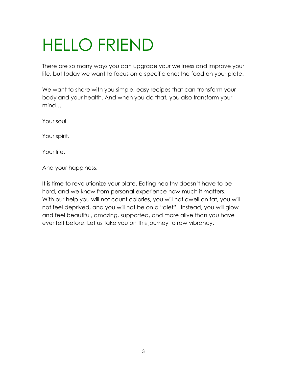# HELLO FRIEND

There are so many ways you can upgrade your wellness and improve your life, but today we want to focus on a specific one: the food on your plate.

We want to share with you simple, easy recipes that can transform your body and your health. And when you do that, you also transform your mind…

Your soul.

Your spirit.

Your life.

And your happiness.

It is time to revolutionize your plate. Eating healthy doesn't have to be hard, and we know from personal experience how much it matters. With our help you will not count calories, you will not dwell on fat, you will not feel deprived, and you will not be on a "diet". Instead, you will glow and feel beautiful, amazing, supported, and more alive than you have ever felt before. Let us take you on this journey to raw vibrancy.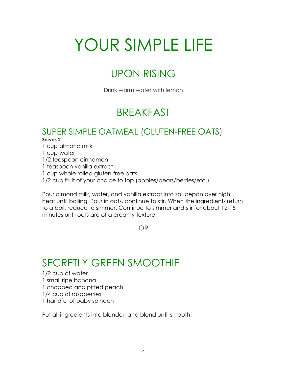# YOUR SIMPLE LIFE

# UPON RISING

Drink warm water with lemon

# BREAKFAST

#### SUPER SIMPLE OATMEAL (GLUTEN-FREE OATS)

#### **Serves 2**

1 cup almond milk

- 1 cup water
- 1/2 teaspoon cinnamon
- 1 teaspoon vanilla extract
- 1 cup whole rolled gluten-free oats
- 1/2 cup fruit of your choice to top (apples/pears/berries/etc.)

Pour almond milk, water, and vanilla extract into saucepan over high heat until boiling. Pour in oats, continue to stir. When the ingredients return to a boil, reduce to simmer. Continue to simmer and stir for about 12-15 minutes until oats are of a creamy texture.

OR

### SECRETLY GREEN SMOOTHIE

1/2 cup of water 1 small ripe banana 1 chopped and pitted peach 1/4 cup of raspberries 1 handful of baby spinach

Put all ingredients into blender, and blend until smooth.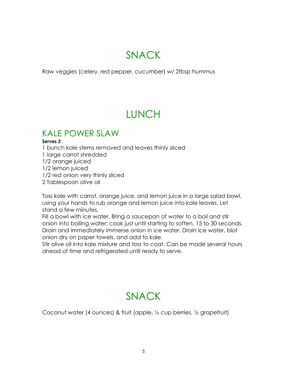## SNACK

Raw veggies (celery, red pepper, cucumber) w/ 2tbsp hummus

# LUNCH

#### KALE POWER SLAW

#### **Serves 2**

1 bunch kale stems removed and leaves thinly sliced 1 large carrot shredded 1/2 orange juiced 1/2 lemon juiced 1/2 red onion very thinly sliced 2 Tablespoon olive oil

Toss kale with carrot, orange juice, and lemon juice in a large salad bowl, using your hands to rub orange and lemon juice into kale leaves. Let stand a few minutes.

Fill a bowl with ice water. Bring a saucepan of water to a boil and stir onion into boiling water; cook just until starting to soften, 15 to 30 seconds. Drain and immediately immerse onion in ice water. Drain ice water, blot onion dry on paper towels, and add to kale.

Stir olive oil into kale mixture and toss to coat. Can be made several hours ahead of time and refrigerated until ready to serve.

# SNACK

Coconut water (4 ounces) & fruit (apple, ½ cup berries, ½ grapefruit)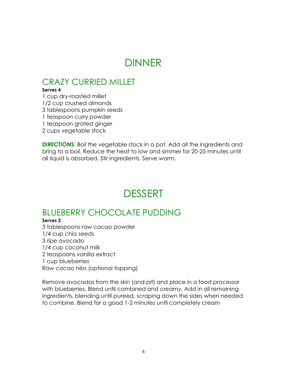## DINNER

#### CRAZY CURRIED MILLET

#### **Serves 4**

1 cup dry-roasted millet

1/2 cup crushed almonds

3 tablespoons pumpkin seeds

1 teaspoon curry powder

1 teaspoon grated ginger

2 cups vegetable stock

**DIRECTIONS:** Boil the vegetable stock in a pot. Add all the ingredients and bring to a boil. Reduce the heat to low and simmer for 20-25 minutes until all liquid is absorbed. Stir ingredients. Serve warm.

### DESSERT

#### BLUEBERRY CHOCOLATE PUDDING

#### **Serves 2**

3 tablespoons raw cacao powder 1/4 cup chia seeds 3 ripe avocado 1/4 cup coconut milk 2 teaspoons vanilla extract 1 cup blueberries Raw cacao nibs (optional topping)

Remove avocados from the skin (and pit) and place in a food processor with blueberries. Blend until combined and creamy. Add in all remaining ingredients, blending until pureed, scraping down the sides when needed to combine. Blend for a good 1-2 minutes until completely cream